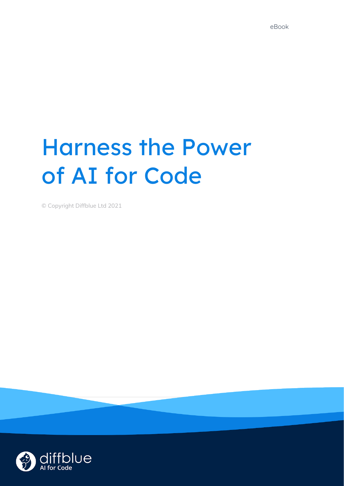# Harness the Power of AI for Code

© Copyright Diffblue Ltd 2021

**Find out more at [diffblue.com](https://www.diffblue.com/) 1**

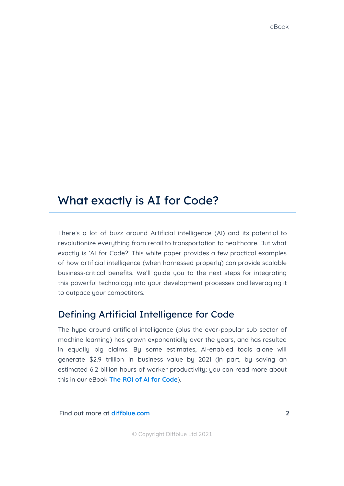## What exactly is AI for Code?

There's a lot of buzz around Artificial intelligence (AI) and its potential to revolutionize everything from retail to transportation to healthcare. But what exactly is 'AI for Code?' This white paper provides a few practical examples of how artificial intelligence (when harnessed properly) can provide scalable business-critical benefits. We'll guide you to the next steps for integrating this powerful technology into your development processes and leveraging it to outpace your competitors.

#### Defining Artificial Intelligence for Code

The hype around artificial intelligence (plus the ever-popular sub sector of machine learning) has grown exponentially over the years, and has resulted in equally big claims. By some estimates, AI-enabled tools alone will generate \$2.9 trillion in business value by 2021 (in part, by saving an estimated 6.2 billion hours of worker productivity; you can read more about this in our eBook **The ROI of AI for [Code](https://www.diffblue.com/AI/ebooks/the-roi-of-artificial-intelligence-for-development/)**).

**Find out more at [diffblue.com](https://www.diffblue.com/) 2**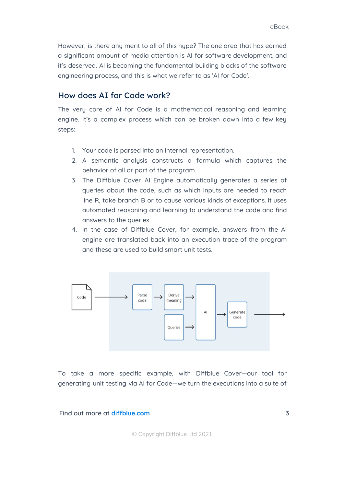However, is there any merit to all of this hype? The one area that has earned a significant amount of media attention is AI for software development, and it's deserved. AI is becoming the fundamental building blocks of the software engineering process, and this is what we refer to as 'AI for Code'.

#### How does AI for Code work?

The very core of AI for Code is a mathematical reasoning and learning engine. It's a complex process which can be broken down into a few key steps:

- 1. Your code is parsed into an internal representation.
- 2. A semantic analysis constructs a formula which captures the behavior of all or part of the program.
- 3. The Diffblue Cover AI Engine automatically generates a series of queries about the code, such as which inputs are needed to reach line R, take branch B or to cause various kinds of exceptions. It uses automated reasoning and learning to understand the code and find answers to the queries.
- 4. In the case of Diffblue Cover, for example, answers from the AI engine are translated back into an execution trace of the program and these are used to build smart unit tests.



To take a more specific example, with Diffblue Cover—our tool for generating unit testing via AI for Code—we turn the executions into a suite of

**Find out more at [diffblue.com](https://www.diffblue.com/) 3**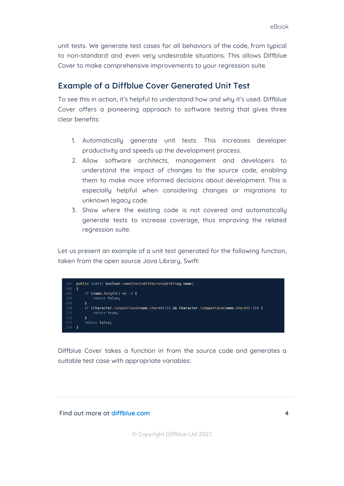unit tests. We generate test cases for all behaviors of the code, from typical to non-standard and even very undesirable situations. This allows Diffblue Cover to make comprehensive improvements to your regression suite.

#### Example of a Diffblue Cover Generated Unit Test

To see this in action, it's helpful to understand how and why it's used. Diffblue Cover offers a pioneering approach to software testing that gives three clear benefits:

- 1. Automatically generate unit tests. This increases developer productivity and speeds up the development process.
- 2. Allow software architects, management and developers to understand the impact of changes to the source code, enabling them to make more informed decisions about development. This is especially helpful when considering changes or migrations to unknown legacy code.
- 3. Show where the existing code is not covered and automatically generate tests to increase coverage, thus improving the related regression suite.

Let us present an example of a unit test generated for the following function, taken from the open source Java Library, Swift:



Diffblue Cover takes a function in from the source code and generates a suitable test case with appropriate variables:

#### **Find out more at [diffblue.com](https://www.diffblue.com/) 4**